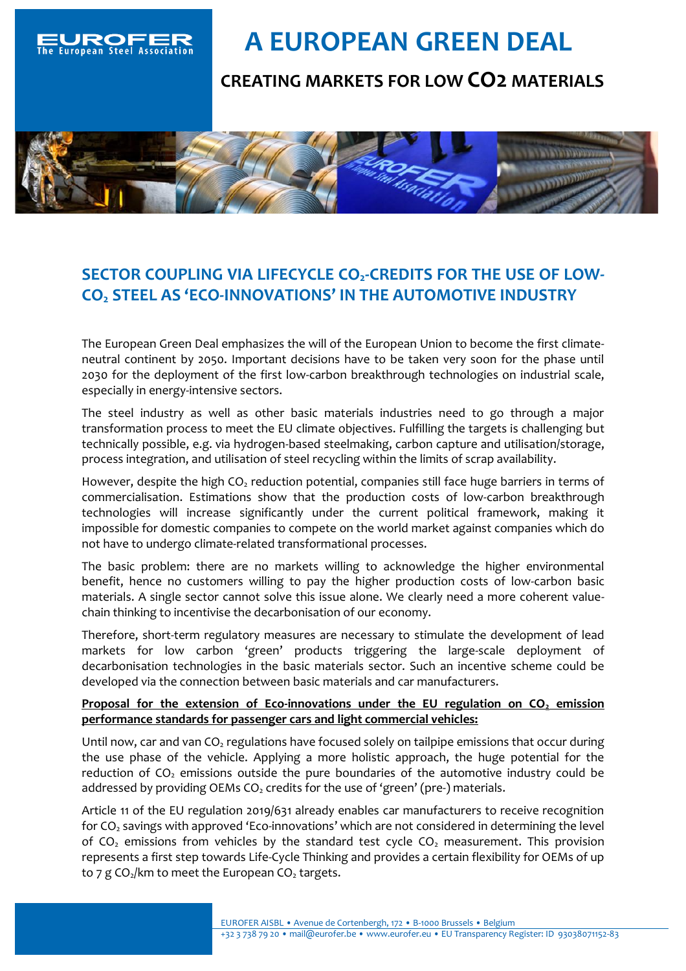

## **A EUROPEAN GREEN DEAL**

## **CREATING MARKETS FOR LOW CO2 MATERIALS**



## **SECTOR COUPLING VIA LIFECYCLE CO2-CREDITS FOR THE USE OF LOW-CO<sup>2</sup> STEEL AS 'ECO-INNOVATIONS' IN THE AUTOMOTIVE INDUSTRY**

The European Green Deal emphasizes the will of the European Union to become the first climateneutral continent by 2050. Important decisions have to be taken very soon for the phase until 2030 for the deployment of the first low-carbon breakthrough technologies on industrial scale, especially in energy-intensive sectors.

The steel industry as well as other basic materials industries need to go through a major transformation process to meet the EU climate objectives. Fulfilling the targets is challenging but technically possible, e.g. via hydrogen-based steelmaking, carbon capture and utilisation/storage, process integration, and utilisation of steel recycling within the limits of scrap availability.

However, despite the high  $CO<sub>2</sub>$  reduction potential, companies still face huge barriers in terms of commercialisation. Estimations show that the production costs of low-carbon breakthrough technologies will increase significantly under the current political framework, making it impossible for domestic companies to compete on the world market against companies which do not have to undergo climate-related transformational processes.

The basic problem: there are no markets willing to acknowledge the higher environmental benefit, hence no customers willing to pay the higher production costs of low-carbon basic materials. A single sector cannot solve this issue alone. We clearly need a more coherent valuechain thinking to incentivise the decarbonisation of our economy.

Therefore, short-term regulatory measures are necessary to stimulate the development of lead markets for low carbon 'green' products triggering the large-scale deployment of decarbonisation technologies in the basic materials sector. Such an incentive scheme could be developed via the connection between basic materials and car manufacturers.

## **Proposal for the extension of Eco-innovations under the EU regulation on CO<sup>2</sup> emission performance standards for passenger cars and light commercial vehicles:**

Until now, car and van  $CO<sub>2</sub>$  regulations have focused solely on tailpipe emissions that occur during the use phase of the vehicle. Applying a more holistic approach, the huge potential for the reduction of  $CO<sub>2</sub>$  emissions outside the pure boundaries of the automotive industry could be addressed by providing OEMs  $CO<sub>2</sub>$  credits for the use of 'green' (pre-) materials.

Article 11 of the EU regulation 2019/631 already enables car manufacturers to receive recognition for  $CO<sub>2</sub>$  savings with approved 'Eco-innovations' which are not considered in determining the level of CO<sub>2</sub> emissions from vehicles by the standard test cycle CO<sub>2</sub> measurement. This provision represents a first step towards Life-Cycle Thinking and provides a certain flexibility for OEMs of up to 7 g CO<sub>2</sub>/km to meet the European CO<sub>2</sub> targets.

> EUROFER AISBL • Avenue de Cortenbergh, 172 • B-1000 Brussels • Belgium +32 3 738 79 20 • mail@eurofer.be • www.eurofer.eu • EU Transparency Register: ID 93038071152-83